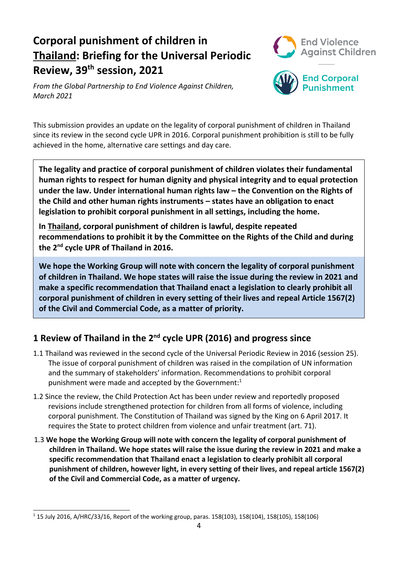# **Corporal punishment of children in Thailand: Briefing for the Universal Periodic Review, 39th session, 2021**



*From the Global Partnership to End Violence Against Children, March 2021*



This submission provides an update on the legality of corporal punishment of children in Thailand since its review in the second cycle UPR in 2016. Corporal punishment prohibition is still to be fully achieved in the home, alternative care settings and day care.

**The legality and practice of corporal punishment of children violates their fundamental human rights to respect for human dignity and physical integrity and to equal protection under the law. Under international human rights law – the Convention on the Rights of the Child and other human rights instruments – states have an obligation to enact legislation to prohibit corporal punishment in all settings, including the home.**

**In Thailand, corporal punishment of children is lawful, despite repeated recommendations to prohibit it by the Committee on the Rights of the Child and during the 2nd cycle UPR of Thailand in 2016.**

**We hope the Working Group will note with concern the legality of corporal punishment of children in Thailand. We hope states will raise the issue during the review in 2021 and make <sup>a</sup> specific recommendation that Thailand enact <sup>a</sup> legislation to clearly prohibit all corporal punishment of children in every setting of their lives and repeal Article 1567(2) of the Civil and Commercial Code, as <sup>a</sup> matter of priority.**

## **1 Review of Thailand in the 2nd cycle UPR (2016) and progress since**

- 1.1 Thailand was reviewed in the second cycle of the Universal Periodic Review in 2016 (session 25). The issue of corporal punishment of children was raised in the compilation of UN information and the summary of stakeholders' information. Recommendations to prohibit corporal punishment were made and accepted by the Government: 1
- 1.2 Since the review, the Child Protection Act has been under review and reportedly proposed revisions include strengthened protection for children from all forms of violence, including corporal punishment. The Constitution of Thailand was signed by the King on 6 April 2017. It requires the State to protect children from violence and unfair treatment (art. 71).
- 1.3 **We hope the Working Group will note with concern the legality of corporal punishment of children in Thailand. We hope states will raise the issue during the review in 2021 and make <sup>a</sup> specific recommendation that Thailand enact <sup>a</sup> legislation to clearly prohibit all corporal punishment of children, however light, in every setting of their lives, and repeal article 1567(2) of the Civil and Commercial Code, as <sup>a</sup> matter of urgency.**

<sup>1</sup> 15 July 2016, A/HRC/33/16, Report of the working group, paras. 158(103), 158(104), 158(105), 158(106)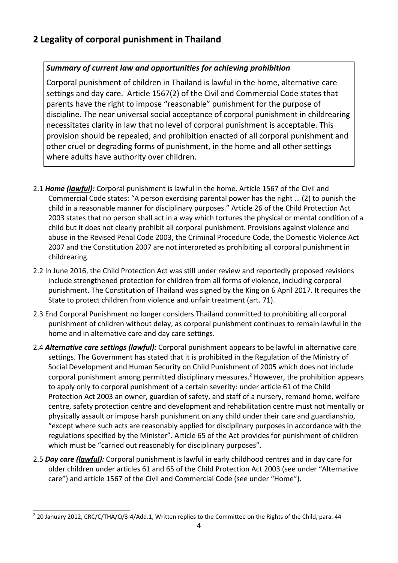## **2 Legality of corporal punishment in Thailand**

#### *Summary of current law and opportunities for achieving prohibition*

Corporal punishment of children in Thailand is lawful in the home, alternative care settings and day care. Article 1567(2) of the Civil and Commercial Code states that parents have the right to impose "reasonable" punishment for the purpose of discipline. The near universal social acceptance of corporal punishment in childrearing necessitates clarity in law that no level of corporal punishment is acceptable. This provision should be repealed, and prohibition enacted of all corporal punishment and other cruel or degrading forms of punishment, in the home and all other settings where adults have authority over children.

- 2.1 *Home (lawful):* Corporal punishment is lawful in the home. Article 1567 of the Civil and Commercial Code states: "A person exercising parental power has the right … (2) to punish the child in <sup>a</sup> reasonable manner for disciplinary purposes." Article 26 of the Child Protection Act 2003 states that no person shall act in <sup>a</sup> way which tortures the physical or mental condition of <sup>a</sup> child but it does not clearly prohibit all corporal punishment. Provisions against violence and abuse in the Revised Penal Code 2003, the Criminal Procedure Code, the Domestic Violence Act 2007 and the Constitution 2007 are not interpreted as prohibiting all corporal punishment in childrearing.
- 2.2 In June 2016, the Child Protection Act was still under review and reportedly proposed revisions include strengthened protection for children from all forms of violence, including corporal punishment. The Constitution of Thailand was signed by the King on 6 April 2017. It requires the State to protect children from violence and unfair treatment (art. 71).
- 2.3 End Corporal Punishment no longer considers Thailand committed to prohibiting all corporal punishment of children without delay, as corporal punishment continues to remain lawful in the home and in alternative care and day care settings.
- 2.4 *Alternative care settings (lawful):* Corporal punishment appears to be lawful in alternative care settings. The Government has stated that it is prohibited in the Regulation of the Ministry of Social Development and Human Security on Child Punishment of 2005 which does not include corporal punishment among permitted disciplinary measures. 2 However, the prohibition appears to apply only to corporal punishment of <sup>a</sup> certain severity: under article 61 of the Child Protection Act 2003 an owner, guardian of safety, and staff of <sup>a</sup> nursery, remand home, welfare centre, safety protection centre and development and rehabilitation centre must not mentally or physically assault or impose harsh punishment on any child under their care and guardianship, "except where such acts are reasonably applied for disciplinary purposes in accordance with the regulations specified by the Minister". Article 65 of the Act provides for punishment of children which must be "carried out reasonably for disciplinary purposes".
- 2.5 *Day care (lawful):* Corporal punishment is lawful in early childhood centres and in day care for older children under articles 61 and 65 of the Child Protection Act 2003 (see under "Alternative care") and article 1567 of the Civil and Commercial Code (see under "Home").

<sup>&</sup>lt;sup>2</sup> 20 January 2012, CRC/C/THA/Q/3-4/Add.1, Written replies to the Committee on the Rights of the Child, para. 44